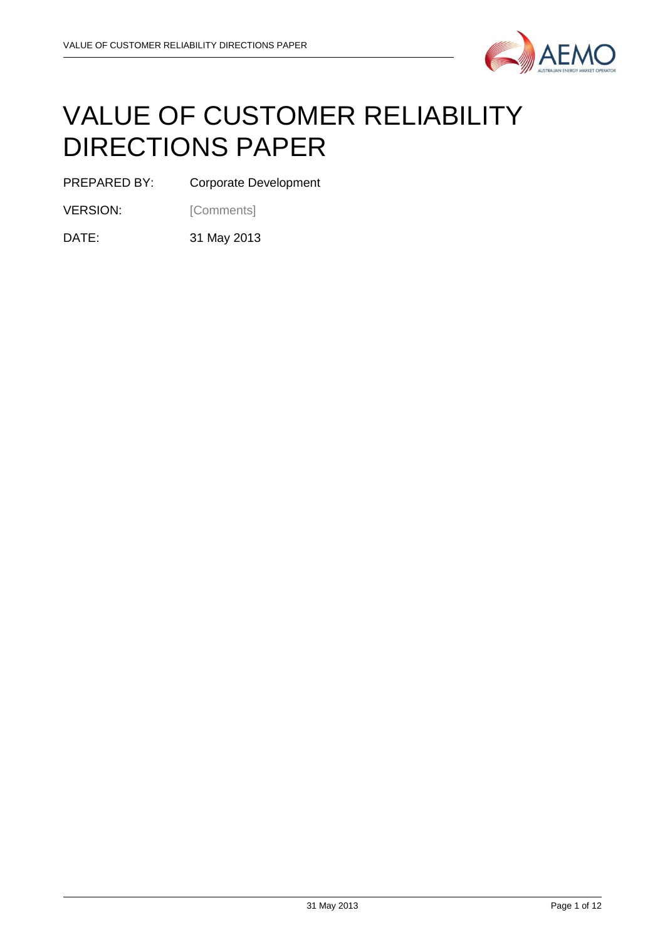

# VALUE OF CUSTOMER RELIABILITY DIRECTIONS PAPER

PREPARED BY: Corporate Development

VERSION: [Comments]

DATE: 31 May 2013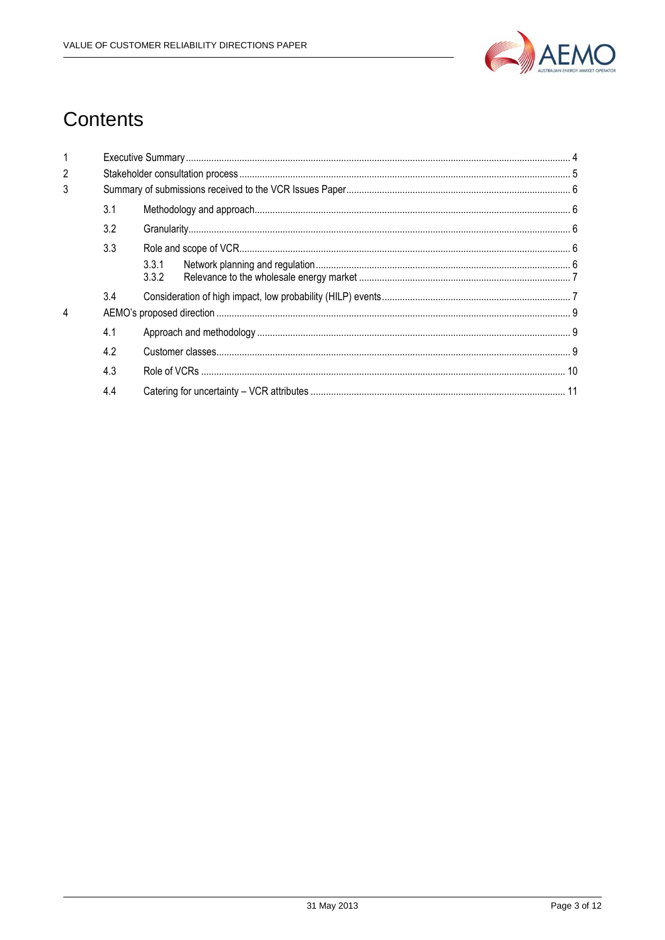

## **Contents**

| $\overline{2}$ |     |                |  |
|----------------|-----|----------------|--|
| 3              |     |                |  |
|                | 3.1 |                |  |
|                | 3.2 |                |  |
|                | 3.3 |                |  |
|                |     | 3.3.1<br>3.3.2 |  |
|                | 3.4 |                |  |
| 4              |     |                |  |
|                | 4.1 |                |  |
|                | 4.2 |                |  |
|                | 4.3 |                |  |
|                | 4.4 |                |  |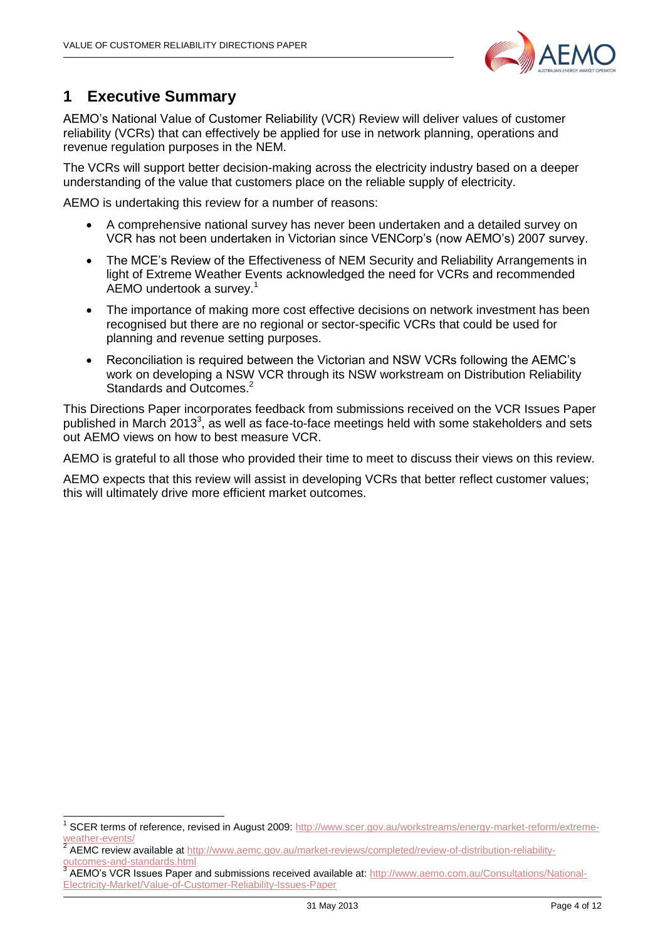

## <span id="page-3-0"></span>**1 Executive Summary**

-

AEMO's National Value of Customer Reliability (VCR) Review will deliver values of customer reliability (VCRs) that can effectively be applied for use in network planning, operations and revenue regulation purposes in the NEM.

The VCRs will support better decision-making across the electricity industry based on a deeper understanding of the value that customers place on the reliable supply of electricity.

AEMO is undertaking this review for a number of reasons:

- A comprehensive national survey has never been undertaken and a detailed survey on VCR has not been undertaken in Victorian since VENCorp's (now AEMO's) 2007 survey.
- The MCE's Review of the Effectiveness of NEM Security and Reliability Arrangements in light of Extreme Weather Events acknowledged the need for VCRs and recommended AEMO undertook a survey. 1
- The importance of making more cost effective decisions on network investment has been recognised but there are no regional or sector-specific VCRs that could be used for planning and revenue setting purposes.
- Reconciliation is required between the Victorian and NSW VCRs following the AEMC's work on developing a NSW VCR through its NSW workstream on Distribution Reliability Standards and Outcomes.<sup>2</sup>

This Directions Paper incorporates feedback from submissions received on the VCR Issues Paper published in March 2013<sup>3</sup>, as well as face-to-face meetings held with some stakeholders and sets out AEMO views on how to best measure VCR.

AEMO is grateful to all those who provided their time to meet to discuss their views on this review.

AEMO expects that this review will assist in developing VCRs that better reflect customer values; this will ultimately drive more efficient market outcomes.

<sup>1</sup> SCER terms of reference, revised in August 2009[: http://www.scer.gov.au/workstreams/energy-market-reform/extreme](http://www.scer.gov.au/workstreams/energy-market-reform/extreme-weather-events/)[weather-events/](http://www.scer.gov.au/workstreams/energy-market-reform/extreme-weather-events/)

<sup>2</sup> AEMC review available a[t http://www.aemc.gov.au/market-reviews/completed/review-of-distribution-reliability](http://www.aemc.gov.au/market-reviews/completed/review-of-distribution-reliability-outcomes-and-standards.html)[outcomes-and-standards.html](http://www.aemc.gov.au/market-reviews/completed/review-of-distribution-reliability-outcomes-and-standards.html)

<sup>3</sup> AEMO's VCR Issues Paper and submissions received available at: [http://www.aemo.com.au/Consultations/National-](http://www.aemo.com.au/Consultations/National-Electricity-Market/Value-of-Customer-Reliability-Issues-Paper)[Electricity-Market/Value-of-Customer-Reliability-Issues-Paper](http://www.aemo.com.au/Consultations/National-Electricity-Market/Value-of-Customer-Reliability-Issues-Paper)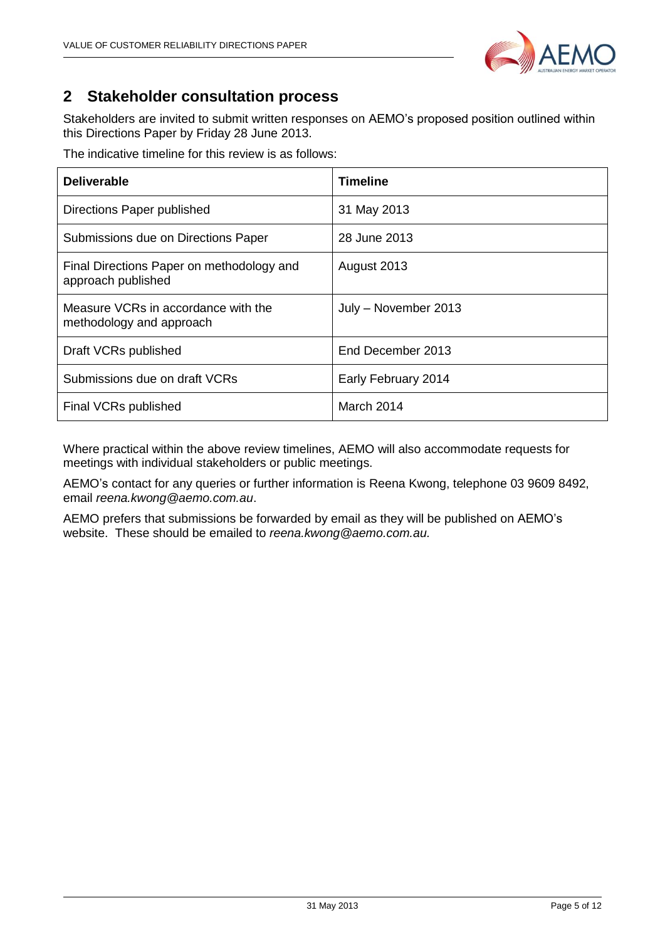

## <span id="page-4-0"></span>**2 Stakeholder consultation process**

Stakeholders are invited to submit written responses on AEMO's proposed position outlined within this Directions Paper by Friday 28 June 2013.

The indicative timeline for this review is as follows:

| <b>Deliverable</b>                                              | Timeline             |
|-----------------------------------------------------------------|----------------------|
| Directions Paper published                                      | 31 May 2013          |
| Submissions due on Directions Paper                             | 28 June 2013         |
| Final Directions Paper on methodology and<br>approach published | August 2013          |
| Measure VCRs in accordance with the<br>methodology and approach | July - November 2013 |
| Draft VCRs published                                            | End December 2013    |
| Submissions due on draft VCRs                                   | Early February 2014  |
| Final VCRs published                                            | March 2014           |

Where practical within the above review timelines, AEMO will also accommodate requests for meetings with individual stakeholders or public meetings.

AEMO's contact for any queries or further information is Reena Kwong, telephone 03 9609 8492, email *reena.kwong@aemo.com.au*.

AEMO prefers that submissions be forwarded by email as they will be published on AEMO's website. These should be emailed to *reena.kwong@aemo.com.au.*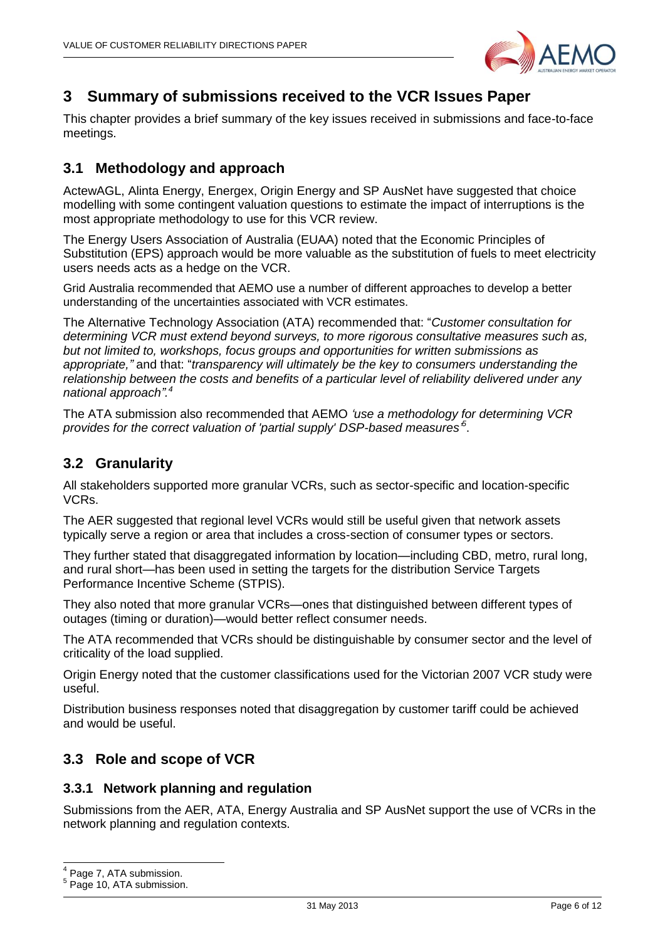

## <span id="page-5-0"></span>**3 Summary of submissions received to the VCR Issues Paper**

This chapter provides a brief summary of the key issues received in submissions and face-to-face meetings.

## <span id="page-5-1"></span>**3.1 Methodology and approach**

ActewAGL, Alinta Energy, Energex, Origin Energy and SP AusNet have suggested that choice modelling with some contingent valuation questions to estimate the impact of interruptions is the most appropriate methodology to use for this VCR review.

The Energy Users Association of Australia (EUAA) noted that the Economic Principles of Substitution (EPS) approach would be more valuable as the substitution of fuels to meet electricity users needs acts as a hedge on the VCR.

Grid Australia recommended that AEMO use a number of different approaches to develop a better understanding of the uncertainties associated with VCR estimates.

The Alternative Technology Association (ATA) recommended that: "*Customer consultation for determining VCR must extend beyond surveys, to more rigorous consultative measures such as, but not limited to, workshops, focus groups and opportunities for written submissions as appropriate,"* and that: "*transparency will ultimately be the key to consumers understanding the relationship between the costs and benefits of a particular level of reliability delivered under any national approach". 4*

The ATA submission also recommended that AEMO *'use a methodology for determining VCR*  provides for the correct valuation of 'partial supply' DSP-based measures<sup>5</sup>.

## <span id="page-5-2"></span>**3.2 Granularity**

All stakeholders supported more granular VCRs, such as sector-specific and location-specific VCRs.

The AER suggested that regional level VCRs would still be useful given that network assets typically serve a region or area that includes a cross-section of consumer types or sectors.

They further stated that disaggregated information by location—including CBD, metro, rural long, and rural short—has been used in setting the targets for the distribution Service Targets Performance Incentive Scheme (STPIS).

They also noted that more granular VCRs—ones that distinguished between different types of outages (timing or duration)—would better reflect consumer needs.

The ATA recommended that VCRs should be distinguishable by consumer sector and the level of criticality of the load supplied.

Origin Energy noted that the customer classifications used for the Victorian 2007 VCR study were useful.

Distribution business responses noted that disaggregation by customer tariff could be achieved and would be useful.

## <span id="page-5-3"></span>**3.3 Role and scope of VCR**

#### <span id="page-5-4"></span>**3.3.1 Network planning and regulation**

Submissions from the AER, ATA, Energy Australia and SP AusNet support the use of VCRs in the network planning and regulation contexts.

1

<sup>4</sup> Page 7, ATA submission.

<sup>5</sup> Page 10, ATA submission.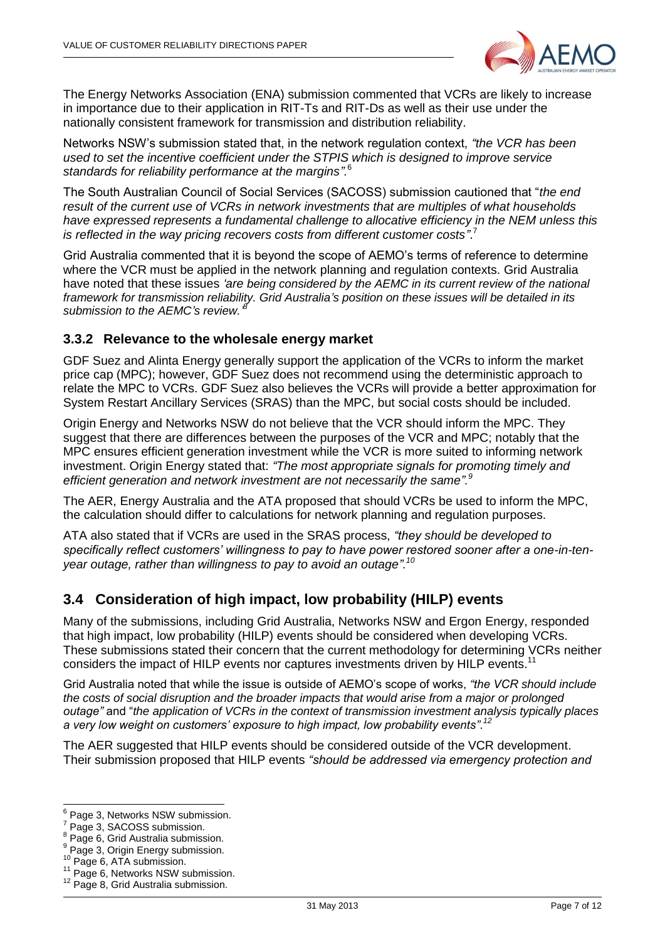

The Energy Networks Association (ENA) submission commented that VCRs are likely to increase in importance due to their application in RIT-Ts and RIT-Ds as well as their use under the nationally consistent framework for transmission and distribution reliability.

Networks NSW's submission stated that, in the network regulation context, *"the VCR has been used to set the incentive coefficient under the STPIS which is designed to improve service standards for reliability performance at the margins".*<sup>6</sup>

The South Australian Council of Social Services (SACOSS) submission cautioned that "*the end result of the current use of VCRs in network investments that are multiples of what households have expressed represents a fundamental challenge to allocative efficiency in the NEM unless this*  is reflected in the way pricing recovers costs from different customer costs".<sup>7</sup>

Grid Australia commented that it is beyond the scope of AEMO's terms of reference to determine where the VCR must be applied in the network planning and regulation contexts. Grid Australia have noted that these issues *'are being considered by the AEMC in its current review of the national framework for transmission reliability. Grid Australia's position on these issues will be detailed in its submission to the AEMC's review.' 8*

#### <span id="page-6-0"></span>**3.3.2 Relevance to the wholesale energy market**

GDF Suez and Alinta Energy generally support the application of the VCRs to inform the market price cap (MPC); however, GDF Suez does not recommend using the deterministic approach to relate the MPC to VCRs. GDF Suez also believes the VCRs will provide a better approximation for System Restart Ancillary Services (SRAS) than the MPC, but social costs should be included.

Origin Energy and Networks NSW do not believe that the VCR should inform the MPC. They suggest that there are differences between the purposes of the VCR and MPC; notably that the MPC ensures efficient generation investment while the VCR is more suited to informing network investment. Origin Energy stated that: *"The most appropriate signals for promoting timely and efficient generation and network investment are not necessarily the same".<sup>9</sup>*

The AER, Energy Australia and the ATA proposed that should VCRs be used to inform the MPC, the calculation should differ to calculations for network planning and regulation purposes.

ATA also stated that if VCRs are used in the SRAS process, *"they should be developed to specifically reflect customers' willingness to pay to have power restored sooner after a one-in-tenyear outage, rather than willingness to pay to avoid an outage".<sup>10</sup>*

## <span id="page-6-1"></span>**3.4 Consideration of high impact, low probability (HILP) events**

Many of the submissions, including Grid Australia, Networks NSW and Ergon Energy, responded that high impact, low probability (HILP) events should be considered when developing VCRs. These submissions stated their concern that the current methodology for determining VCRs neither considers the impact of HILP events nor captures investments driven by HILP events.<sup>11</sup>

Grid Australia noted that while the issue is outside of AEMO's scope of works, *"the VCR should include the costs of social disruption and the broader impacts that would arise from a major or prolonged outage"* and "*the application of VCRs in the context of transmission investment analysis typically places a very low weight on customers' exposure to high impact, low probability events"*. *12*

The AER suggested that HILP events should be considered outside of the VCR development. Their submission proposed that HILP events *"should be addressed via emergency protection and* 

 6 Page 3, Networks NSW submission.

<sup>&</sup>lt;sup>7</sup> Page 3, SACOSS submission.

 $8$  Page 6, Grid Australia submission.

<sup>9</sup> Page 3, Origin Energy submission.

<sup>&</sup>lt;sup>10</sup> Page 6, ATA submission.

<sup>11</sup> Page 6, Networks NSW submission.

 $12$  Page 8, Grid Australia submission.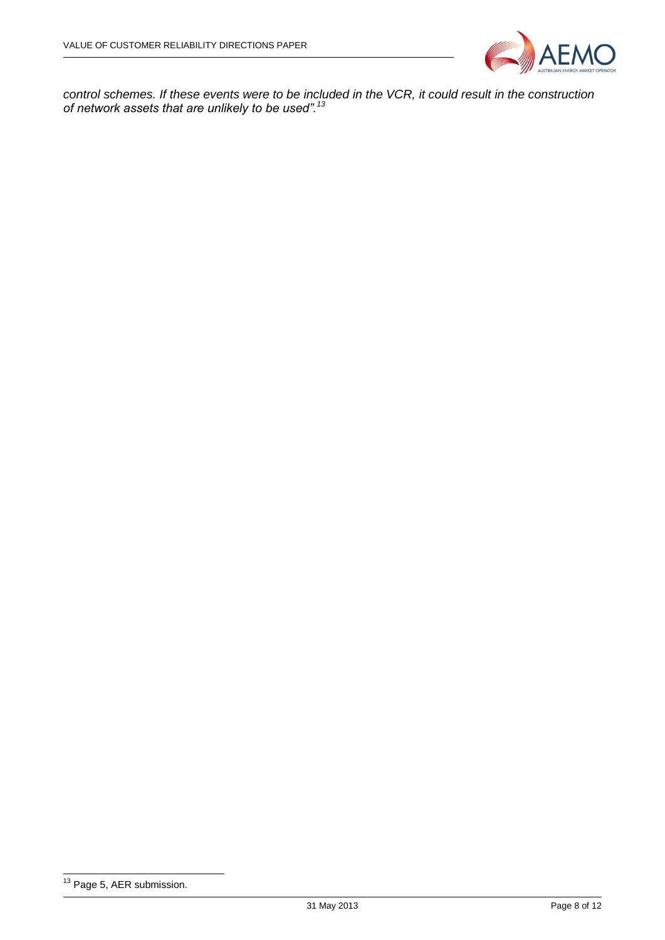

*control schemes. If these events were to be included in the VCR, it could result in the construction of network assets that are unlikely to be used".<sup>13</sup>*

<sup>-</sup><sup>13</sup> Page 5, AER submission.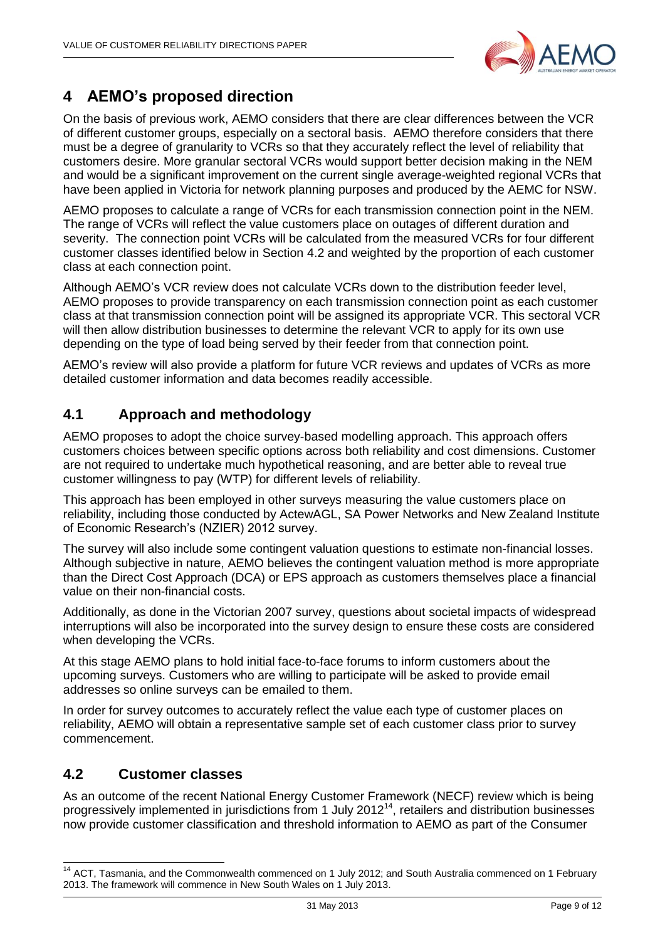

## <span id="page-8-0"></span>**4 AEMO's proposed direction**

On the basis of previous work, AEMO considers that there are clear differences between the VCR of different customer groups, especially on a sectoral basis. AEMO therefore considers that there must be a degree of granularity to VCRs so that they accurately reflect the level of reliability that customers desire. More granular sectoral VCRs would support better decision making in the NEM and would be a significant improvement on the current single average-weighted regional VCRs that have been applied in Victoria for network planning purposes and produced by the AEMC for NSW.

AEMO proposes to calculate a range of VCRs for each transmission connection point in the NEM. The range of VCRs will reflect the value customers place on outages of different duration and severity. The connection point VCRs will be calculated from the measured VCRs for four different customer classes identified below in Section 4.2 and weighted by the proportion of each customer class at each connection point.

Although AEMO's VCR review does not calculate VCRs down to the distribution feeder level, AEMO proposes to provide transparency on each transmission connection point as each customer class at that transmission connection point will be assigned its appropriate VCR. This sectoral VCR will then allow distribution businesses to determine the relevant VCR to apply for its own use depending on the type of load being served by their feeder from that connection point.

AEMO's review will also provide a platform for future VCR reviews and updates of VCRs as more detailed customer information and data becomes readily accessible.

## <span id="page-8-1"></span>**4.1 Approach and methodology**

AEMO proposes to adopt the choice survey-based modelling approach. This approach offers customers choices between specific options across both reliability and cost dimensions. Customer are not required to undertake much hypothetical reasoning, and are better able to reveal true customer willingness to pay (WTP) for different levels of reliability.

This approach has been employed in other surveys measuring the value customers place on reliability, including those conducted by ActewAGL, SA Power Networks and New Zealand Institute of Economic Research's (NZIER) 2012 survey.

The survey will also include some contingent valuation questions to estimate non-financial losses. Although subjective in nature, AEMO believes the contingent valuation method is more appropriate than the Direct Cost Approach (DCA) or EPS approach as customers themselves place a financial value on their non-financial costs.

Additionally, as done in the Victorian 2007 survey, questions about societal impacts of widespread interruptions will also be incorporated into the survey design to ensure these costs are considered when developing the VCRs.

At this stage AEMO plans to hold initial face-to-face forums to inform customers about the upcoming surveys. Customers who are willing to participate will be asked to provide email addresses so online surveys can be emailed to them.

In order for survey outcomes to accurately reflect the value each type of customer places on reliability, AEMO will obtain a representative sample set of each customer class prior to survey commencement.

## <span id="page-8-2"></span>**4.2 Customer classes**

1

As an outcome of the recent National Energy Customer Framework (NECF) review which is being progressively implemented in jurisdictions from 1 July 2012<sup>14</sup>, retailers and distribution businesses now provide customer classification and threshold information to AEMO as part of the Consumer

<sup>&</sup>lt;sup>14</sup> ACT, Tasmania, and the Commonwealth commenced on 1 July 2012; and South Australia commenced on 1 February 2013. The framework will commence in New South Wales on 1 July 2013.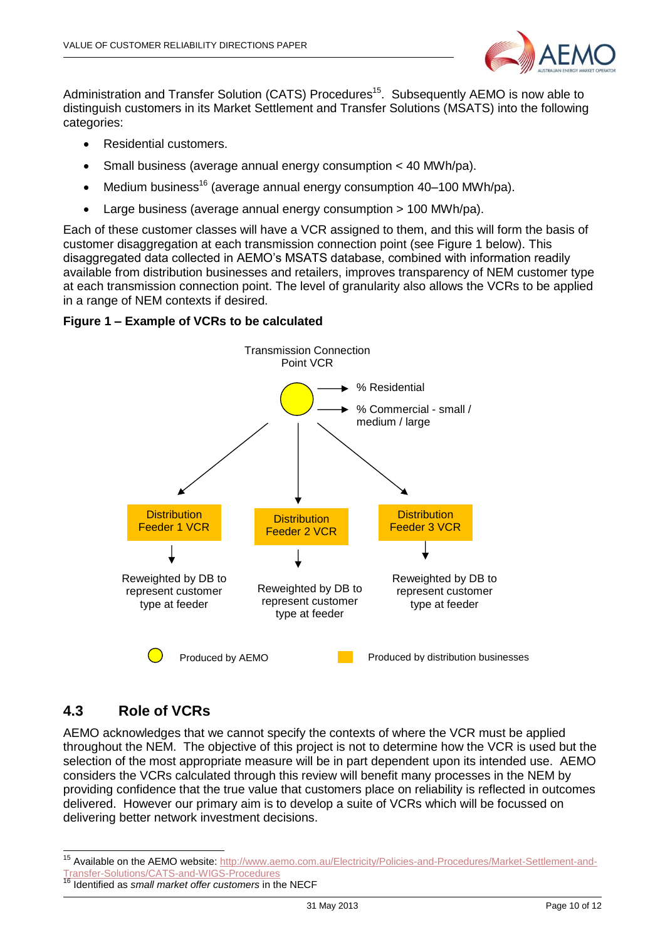

Administration and Transfer Solution (CATS) Procedures<sup>15</sup>. Subsequently AEMO is now able to distinguish customers in its Market Settlement and Transfer Solutions (MSATS) into the following categories:

- Residential customers.
- Small business (average annual energy consumption < 40 MWh/pa).
- Medium business<sup>16</sup> (average annual energy consumption  $40-100$  MWh/pa).
- Large business (average annual energy consumption > 100 MWh/pa).

Each of these customer classes will have a VCR assigned to them, and this will form the basis of customer disaggregation at each transmission connection point (see Figure 1 below). This disaggregated data collected in AEMO's MSATS database, combined with information readily available from distribution businesses and retailers, improves transparency of NEM customer type at each transmission connection point. The level of granularity also allows the VCRs to be applied in a range of NEM contexts if desired.

#### **Figure 1 – Example of VCRs to be calculated**



## <span id="page-9-0"></span>**4.3 Role of VCRs**

-

AEMO acknowledges that we cannot specify the contexts of where the VCR must be applied throughout the NEM. The objective of this project is not to determine how the VCR is used but the selection of the most appropriate measure will be in part dependent upon its intended use. AEMO considers the VCRs calculated through this review will benefit many processes in the NEM by providing confidence that the true value that customers place on reliability is reflected in outcomes delivered. However our primary aim is to develop a suite of VCRs which will be focussed on delivering better network investment decisions.

<sup>&</sup>lt;sup>15</sup> Available on the AEMO website: [http://www.aemo.com.au/Electricity/Policies-and-Procedures/Market-Settlement-and-](http://www.aemo.com.au/Electricity/Policies-and-Procedures/Market-Settlement-and-Transfer-Solutions/CATS-and-WIGS-Procedures)[Transfer-Solutions/CATS-and-WIGS-Procedures](http://www.aemo.com.au/Electricity/Policies-and-Procedures/Market-Settlement-and-Transfer-Solutions/CATS-and-WIGS-Procedures)

<sup>16</sup> Identified as *small market offer customers* in the NECF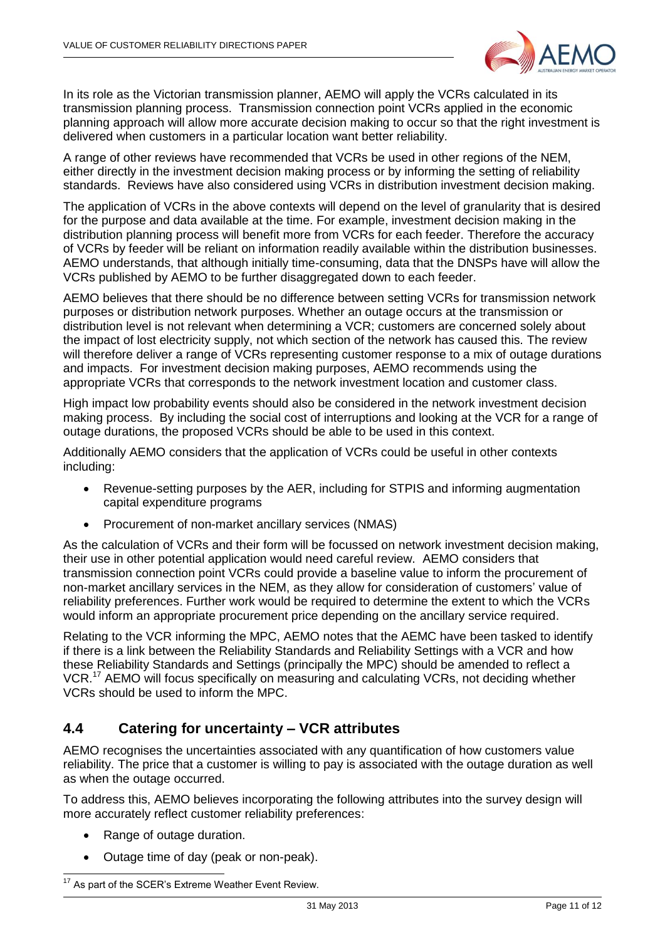

In its role as the Victorian transmission planner, AEMO will apply the VCRs calculated in its transmission planning process. Transmission connection point VCRs applied in the economic planning approach will allow more accurate decision making to occur so that the right investment is delivered when customers in a particular location want better reliability.

A range of other reviews have recommended that VCRs be used in other regions of the NEM, either directly in the investment decision making process or by informing the setting of reliability standards. Reviews have also considered using VCRs in distribution investment decision making.

The application of VCRs in the above contexts will depend on the level of granularity that is desired for the purpose and data available at the time. For example, investment decision making in the distribution planning process will benefit more from VCRs for each feeder. Therefore the accuracy of VCRs by feeder will be reliant on information readily available within the distribution businesses. AEMO understands, that although initially time-consuming, data that the DNSPs have will allow the VCRs published by AEMO to be further disaggregated down to each feeder.

AEMO believes that there should be no difference between setting VCRs for transmission network purposes or distribution network purposes. Whether an outage occurs at the transmission or distribution level is not relevant when determining a VCR; customers are concerned solely about the impact of lost electricity supply, not which section of the network has caused this. The review will therefore deliver a range of VCRs representing customer response to a mix of outage durations and impacts. For investment decision making purposes, AEMO recommends using the appropriate VCRs that corresponds to the network investment location and customer class.

High impact low probability events should also be considered in the network investment decision making process. By including the social cost of interruptions and looking at the VCR for a range of outage durations, the proposed VCRs should be able to be used in this context.

Additionally AEMO considers that the application of VCRs could be useful in other contexts including:

- Revenue-setting purposes by the AER, including for STPIS and informing augmentation capital expenditure programs
- Procurement of non-market ancillary services (NMAS)

As the calculation of VCRs and their form will be focussed on network investment decision making, their use in other potential application would need careful review. AEMO considers that transmission connection point VCRs could provide a baseline value to inform the procurement of non-market ancillary services in the NEM, as they allow for consideration of customers' value of reliability preferences. Further work would be required to determine the extent to which the VCRs would inform an appropriate procurement price depending on the ancillary service required.

Relating to the VCR informing the MPC, AEMO notes that the AEMC have been tasked to identify if there is a link between the Reliability Standards and Reliability Settings with a VCR and how these Reliability Standards and Settings (principally the MPC) should be amended to reflect a VCR.<sup>17</sup> AEMO will focus specifically on measuring and calculating VCRs, not deciding whether VCRs should be used to inform the MPC.

## <span id="page-10-0"></span>**4.4 Catering for uncertainty – VCR attributes**

AEMO recognises the uncertainties associated with any quantification of how customers value reliability. The price that a customer is willing to pay is associated with the outage duration as well as when the outage occurred.

To address this, AEMO believes incorporating the following attributes into the survey design will more accurately reflect customer reliability preferences:

- Range of outage duration.
- Outage time of day (peak or non-peak).

<sup>-</sup>As part of the SCER's Extreme Weather Event Review.